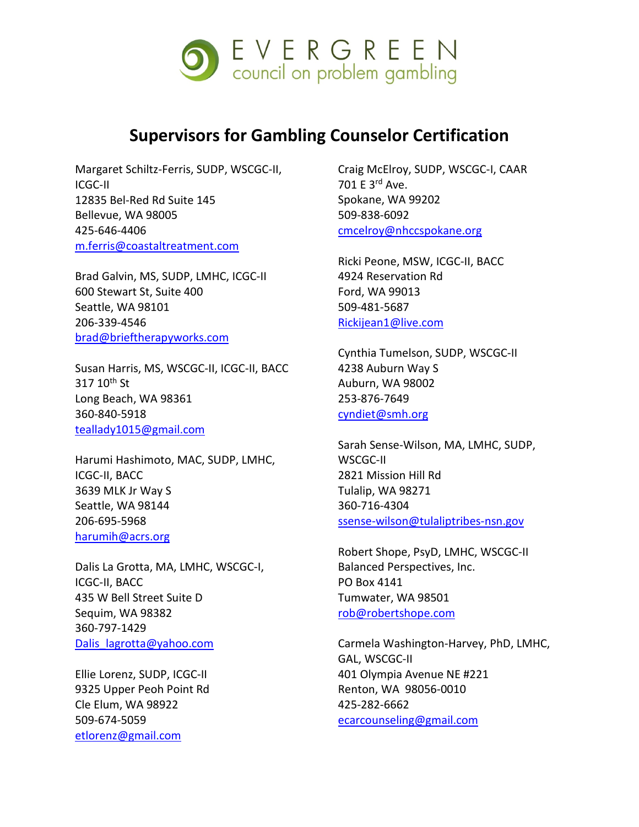

## **Supervisors for Gambling Counselor Certification**

Margaret Schiltz-Ferris, SUDP, WSCGC-II, ICGC-II 12835 Bel-Red Rd Suite 145 Bellevue, WA 98005 425-646-4406 [m.ferris@coastaltreatment.com](mailto:m.ferris@coastaltreatment.com)

Brad Galvin, MS, SUDP, LMHC, ICGC-II 600 Stewart St, Suite 400 Seattle, WA 98101 206-339-4546 [brad@brieftherapyworks.com](mailto:brad@brieftherapyworks.com)

Susan Harris, MS, WSCGC-II, ICGC-II, BACC 317 10<sup>th</sup> St Long Beach, WA 98361 360-840-5918 [teallady1015@gmail.com](mailto:teallady1015@gmail.com)

Harumi Hashimoto, MAC, SUDP, LMHC, ICGC-II, BACC 3639 MLK Jr Way S Seattle, WA 98144 206-695-5968 [harumih@acrs.org](mailto:harumih@acrs.org)

Dalis La Grotta, MA, LMHC, WSCGC-I, ICGC-II, BACC 435 W Bell Street Suite D Sequim, WA 98382 360-797-1429 [Dalis\\_lagrotta@yahoo.com](mailto:Dalis_lagrotta@yahoo.com)

Ellie Lorenz, SUDP, ICGC-II 9325 Upper Peoh Point Rd Cle Elum, WA 98922 509-674-5059 [etlorenz@gmail.com](mailto:etlorenz@gmail.com)

Craig McElroy, SUDP, WSCGC-I, CAAR 701 E 3rd Ave. Spokane, WA 99202 509-838-6092 [cmcelroy@nhccspokane.org](mailto:cmcelroy@nhccspokane.org)

Ricki Peone, MSW, ICGC-II, BACC 4924 Reservation Rd Ford, WA 99013 509-481-5687 [Rickijean1@live.com](mailto:Rickijean1@live.com)

Cynthia Tumelson, SUDP, WSCGC-II 4238 Auburn Way S Auburn, WA 98002 253-876-7649 [cyndiet@smh.org](mailto:cyndiet@smh.org)

Sarah Sense-Wilson, MA, LMHC, SUDP, WSCGC-II 2821 Mission Hill Rd Tulalip, WA 98271 360-716-4304 [ssense-wilson@tulaliptribes-nsn.gov](mailto:ssense-wilson@tulaliptribes-nsn.gov)

Robert Shope, PsyD, LMHC, WSCGC-II Balanced Perspectives, Inc. PO Box 4141 Tumwater, WA 98501 [rob@robertshope.com](mailto:rob@robertshope.com)

Carmela Washington-Harvey, PhD, LMHC, GAL, WSCGC-II 401 Olympia Avenue NE #221 Renton, WA 98056-0010 425-282-6662 [ecarcounseling@gmail.com](mailto:ecarcounseling@gmail.com)